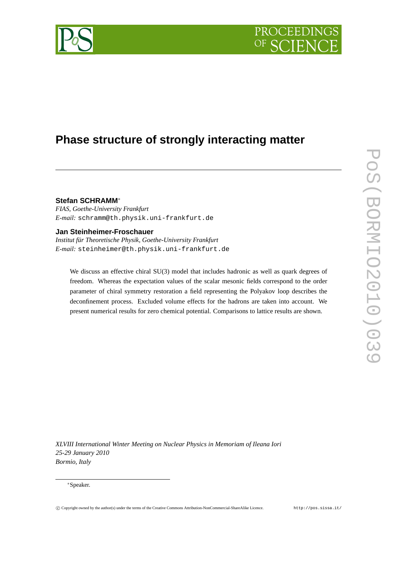

# **Phase structure of strongly interacting matter**

# **Stefan SCHRAMM**∗

*FIAS, Goethe-University Frankfurt E-mail:* schramm@th.physik.uni-frankfurt.de

# **Jan Steinheimer-Froschauer**

*Institut für Theoretische Physik, Goethe-University Frankfurt E-mail:* steinheimer@th.physik.uni-frankfurt.de

We discuss an effective chiral SU(3) model that includes hadronic as well as quark degrees of freedom. Whereas the expectation values of the scalar mesonic fields correspond to the order parameter of chiral symmetry restoration a field representing the Polyakov loop describes the deconfinement process. Excluded volume effects for the hadrons are taken into account. We present numerical results for zero chemical potential. Comparisons to lattice results are shown.

*XLVIII International Winter Meeting on Nuclear Physics in Memoriam of Ileana Iori 25-29 January 2010 Bormio, Italy*

#### ∗Speaker.

PoS(BORMIO2010)039

POS(BORMIO2010)039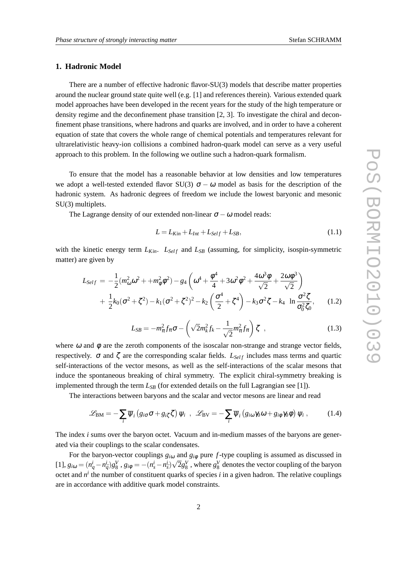# **1. Hadronic Model**

There are a number of effective hadronic flavor-SU(3) models that describe matter properties around the nuclear ground state quite well (e.g. [1] and references therein). Various extended quark model approaches have been developed in the recent years for the study of the high temperature or density regime and the deconfinement phase transition [2, 3]. To investigate the chiral and deconfinement phase transitions, where hadrons and quarks are involved, and in order to have a coherent equation of state that covers the whole range of chemical potentials and temperatures relevant for ultrarelativistic heavy-ion collisions a combined hadron-quark model can serve as a very useful approach to this problem. In the following we outline such a hadron-quark formalism.

To ensure that the model has a reasonable behavior at low densities and low temperatures we adopt a well-tested extended flavor SU(3)  $\sigma - \omega$  model as basis for the description of the hadronic system. As hadronic degrees of freedom we include the lowest baryonic and mesonic SU(3) multiplets.

The Lagrange density of our extended non-linear  $\sigma - \omega$  model reads:

$$
L = L_{Kin} + L_{Int} + L_{Self} + L_{SB},\tag{1.1}
$$

with the kinetic energy term  $L_{Kin}$ .  $L_{Self}$  and  $L_{SB}$  (assuming, for simplicity, isospin-symmetric matter) are given by

$$
L_{Self} = -\frac{1}{2} (m_{\omega}^2 \omega^2 + + m_{\phi}^2 \phi^2) - g_4 \left( \omega^4 + \frac{\phi^4}{4} + 3 \omega^2 \phi^2 + \frac{4 \omega^3 \phi}{\sqrt{2}} + \frac{2 \omega \phi^3}{\sqrt{2}} \right) + \frac{1}{2} k_0 (\sigma^2 + \zeta^2) - k_1 (\sigma^2 + \zeta^2)^2 - k_2 \left( \frac{\sigma^4}{2} + \zeta^4 \right) - k_3 \sigma^2 \zeta - k_4 \ln \frac{\sigma^2 \zeta}{\sigma_0^2 \zeta_0}, \quad (1.2)
$$

$$
L_{SB} = -m_{\pi}^2 f_{\pi} \sigma - \left(\sqrt{2}m_k^2 f_k - \frac{1}{\sqrt{2}}m_{\pi}^2 f_{\pi}\right) \zeta \quad , \tag{1.3}
$$

where  $\omega$  and  $\phi$  are the zeroth components of the isoscalar non-strange and strange vector fields, respectively.  $\sigma$  and  $\zeta$  are the corresponding scalar fields.  $L_{Self}$  includes mass terms and quartic self-interactions of the vector mesons, as well as the self-interactions of the scalar mesons that induce the spontaneous breaking of chiral symmetry. The explicit chiral-symmetry breaking is implemented through the term  $L_{SB}$  (for extended details on the full Lagrangian see [1]).

The interactions between baryons and the scalar and vector mesons are linear and read

$$
\mathscr{L}_{BM} = -\sum_{i} \overline{\psi}_{i} \left( g_{i\sigma} \sigma + g_{i\zeta} \zeta \right) \psi_{i} , \quad \mathscr{L}_{BV} = -\sum_{i} \overline{\psi}_{i} \left( g_{i\omega} \gamma_{0} \omega + g_{i\phi} \gamma_{0} \phi \right) \psi_{i} , \tag{1.4}
$$

The index *i* sums over the baryon octet. Vacuum and in-medium masses of the baryons are generated via their couplings to the scalar condensates.

For the baryon-vector couplings  $g_{i\omega}$  and  $g_{i\phi}$  pure *f*-type coupling is assumed as discussed in [1],  $g_{i\omega} = (n_q^i - n_{\bar{q}}^i)g_8^V$ ,  $g_{i\phi} = -(n_s^i - n_{\bar{s}}^i)\sqrt{2}g_8^V$ , where  $g_8^V$  denotes the vector coupling of the baryon octet and  $n^i$  the number of constituent quarks of species *i* in a given hadron. The relative couplings are in accordance with additive quark model constraints.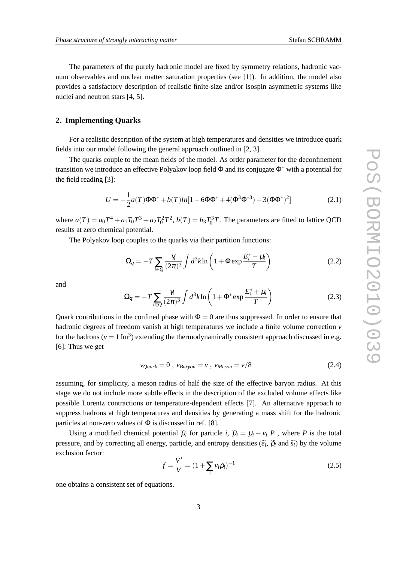The parameters of the purely hadronic model are fixed by symmetry relations, hadronic vacuum observables and nuclear matter saturation properties (see [1]). In addition, the model also provides a satisfactory description of realistic finite-size and/or isospin asymmetric systems like nuclei and neutron stars [4, 5].

### **2. Implementing Quarks**

For a realistic description of the system at high temperatures and densities we introduce quark fields into our model following the general approach outlined in [2, 3].

The quarks couple to the mean fields of the model. As order parameter for the deconfinement transition we introduce an effective Polyakov loop field  $\Phi$  and its conjugate  $\Phi^*$  with a potential for the field reading [3]:

$$
U = -\frac{1}{2}a(T)\Phi\Phi^* + b(T)ln[1 - 6\Phi\Phi^* + 4(\Phi^3\Phi^{*3}) - 3(\Phi\Phi^*)^2]
$$
 (2.1)

where  $a(T) = a_0 T^4 + a_1 T_0 T^3 + a_2 T_0^2 T^2$ ,  $b(T) = b_3 T_0^3 T$ . The parameters are fitted to lattice QCD results at zero chemical potential.

The Polyakov loop couples to the quarks via their partition functions:

$$
\Omega_q = -T \sum_{i \in Q} \frac{\gamma_i}{(2\pi)^3} \int d^3 k \ln\left(1 + \Phi \exp\frac{E_i^* - \mu_i}{T}\right) \tag{2.2}
$$

and

$$
\Omega_{\overline{q}} = -T \sum_{i \in Q} \frac{\gamma_i}{(2\pi)^3} \int d^3k \ln\left(1 + \Phi^* \exp\frac{E_i^* + \mu_i}{T}\right) \tag{2.3}
$$

Quark contributions in the confined phase with  $\Phi = 0$  are thus suppressed. In order to ensure that hadronic degrees of freedom vanish at high temperatures we include a finite volume correction *v* for the hadrons ( $v = 1$  fm<sup>3</sup>) extending the thermodynamically consistent approach discussed in e.g. [6]. Thus we get

$$
v_{\mathcal{Q}uark} = 0 \, , \, v_{\mathcal{B}aryon} = v \, , \, v_{\mathcal{M}eson} = v/8 \tag{2.4}
$$

assuming, for simplicity, a meson radius of half the size of the effective baryon radius. At this stage we do not include more subtle effects in the description of the excluded volume effects like possible Lorentz contractions or temperature-dependent effects [7]. An alternative approach to suppress hadrons at high temperatures and densities by generating a mass shift for the hadronic particles at non-zero values of  $\Phi$  is discussed in ref. [8].

Using a modified chemical potential  $\tilde{\mu}_i$  for particle *i*,  $\tilde{\mu}_i = \mu_i - v_i P$ , where *P* is the total pressure, and by correcting all energy, particle, and entropy densities  $(\tilde{e}_i, \tilde{\rho}_i)$  and  $\tilde{s}_i$ ) by the volume exclusion factor:

$$
f = \frac{V'}{V} = (1 + \sum_{i} v_i \rho_i)^{-1}
$$
 (2.5)

one obtains a consistent set of equations.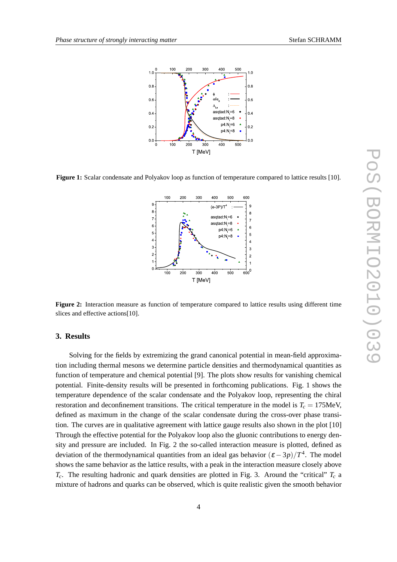

**Figure 1:** Scalar condensate and Polyakov loop as function of temperature compared to lattice results [10].



**Figure 2:** Interaction measure as function of temperature compared to lattice results using different time slices and effective actions[10].

#### **3. Results**

Solving for the fields by extremizing the grand canonical potential in mean-field approximation including thermal mesons we determine particle densities and thermodynamical quantities as function of temperature and chemical potential [9]. The plots show results for vanishing chemical potential. Finite-density results will be presented in forthcoming publications. Fig. 1 shows the temperature dependence of the scalar condensate and the Polyakov loop, representing the chiral restoration and deconfinement transitions. The critical temperature in the model is  $T_c = 175$ MeV, defined as maximum in the change of the scalar condensate during the cross-over phase transition. The curves are in qualitative agreement with lattice gauge results also shown in the plot [10] Through the effective potential for the Polyakov loop also the gluonic contributions to energy density and pressure are included. In Fig. 2 the so-called interaction measure is plotted, defined as deviation of the thermodynamical quantities from an ideal gas behavior  $(\varepsilon - 3p)/T^4$ . The model shows the same behavior as the lattice results, with a peak in the interaction measure closely above  $T_c$ . The resulting hadronic and quark densities are plotted in Fig. 3. Around the "critical"  $T_c$  a mixture of hadrons and quarks can be observed, which is quite realistic given the smooth behavior